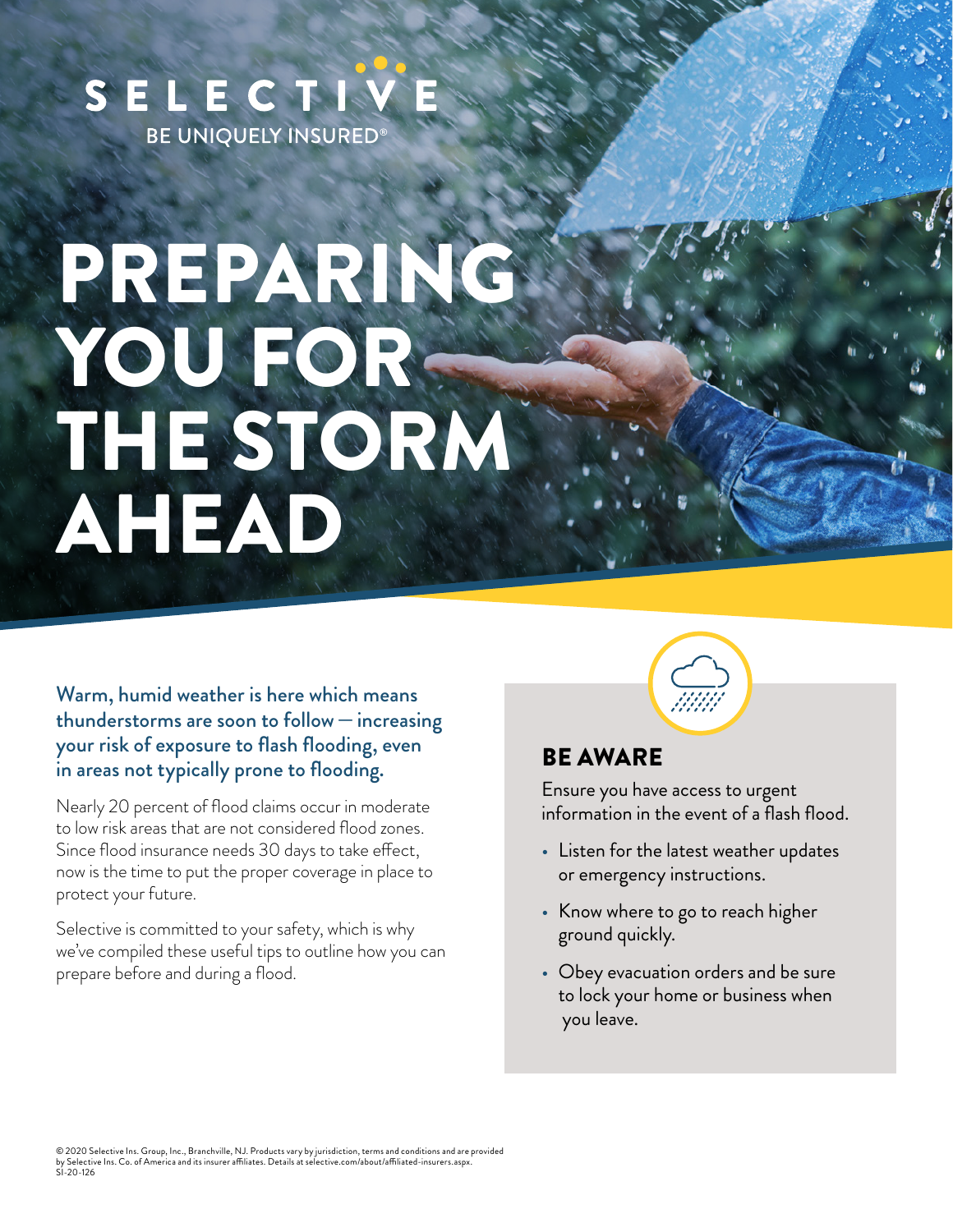## SELECTI **BE UNIQUELY INSURED®**

# PREPARING YOU FOR-THE STORM AHEAD

Warm, humid weather is here which means thunderstorms are soon to follow—increasing your risk of exposure to flash flooding, even in areas not typically prone to flooding.

Nearly 20 percent of flood claims occur in moderate to low risk areas that are not considered flood zones. Since flood insurance needs 30 days to take effect, now is the time to put the proper coverage in place to protect your future.

Selective is committed to your safety, which is why we've compiled these useful tips to outline how you can prepare before and during a flood.

#### BE AWARE

Ensure you have access to urgent information in the event of a flash flood.

- Listen for the latest weather updates or emergency instructions.
- Know where to go to reach higher ground quickly.
- Obey evacuation orders and be sure to lock your home or business when you leave.